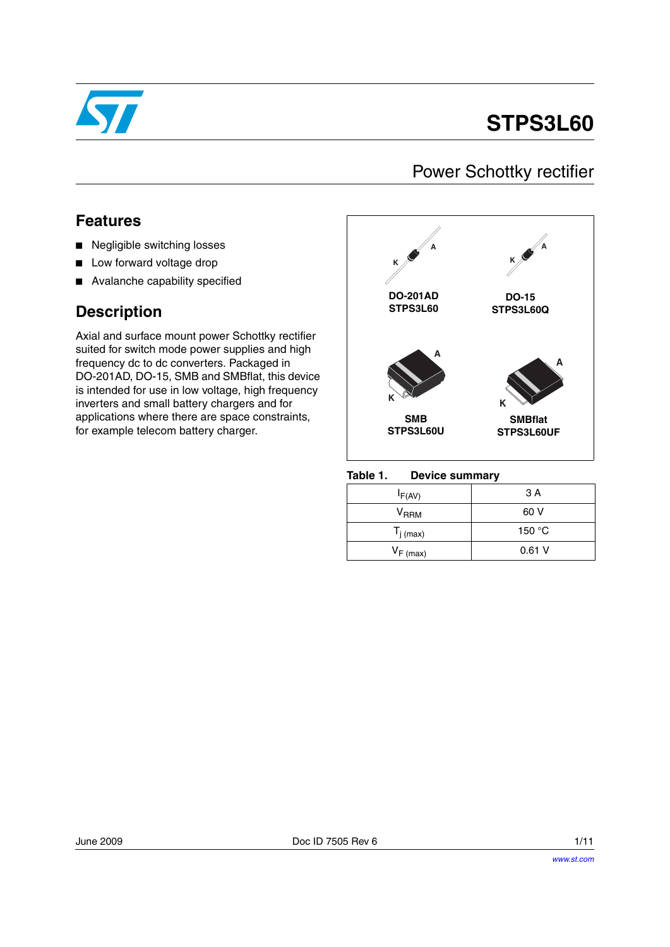

# **STPS3L60**

## Power Schottky rectifier

## **Features**

- Negligible switching losses
- Low forward voltage drop
- Avalanche capability specified

## **Description**

Axial and surface mount power Schottky rectifier suited for switch mode power supplies and high frequency dc to dc converters. Packaged in DO-201AD, DO-15, SMB and SMBflat, this device is intended for use in low voltage, high frequency inverters and small battery chargers and for applications where there are space constraints, for example telecom battery charger.





| $I_{F(AV)}$           | 3 A    |
|-----------------------|--------|
| V <sub>RRM</sub>      | 60 V   |
| $T_{j \text{ (max)}}$ | 150 °C |
| $V_{F(max)}$          | 0.61V  |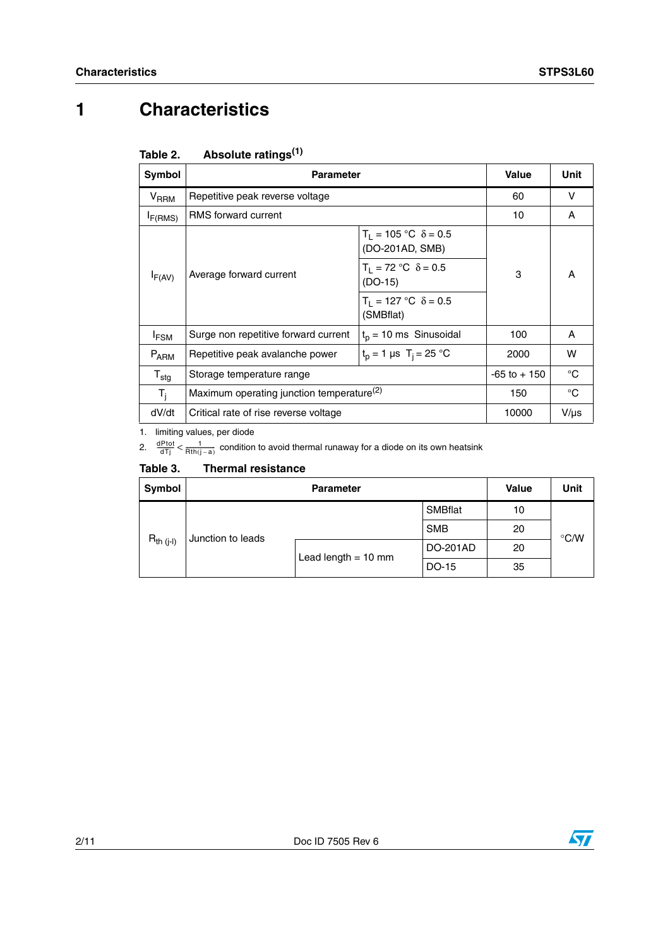# **1 Characteristics**

| Symbol              | <b>Parameter</b>                                      | <b>Value</b>                                     | Unit      |   |
|---------------------|-------------------------------------------------------|--------------------------------------------------|-----------|---|
| $V_{RRM}$           | Repetitive peak reverse voltage                       | 60                                               | v         |   |
| I <sub>F(RMS)</sub> | RMS forward current                                   | 10                                               | A         |   |
|                     |                                                       | $T_1 = 105$ °C $\delta = 0.5$<br>(DO-201AD, SMB) |           |   |
| $I_{F(AV)}$         | Average forward current                               | $T_1 = 72 °C \delta = 0.5$<br>$(DO-15)$          | 3         | A |
|                     |                                                       | $T_1 = 127$ °C $\delta = 0.5$<br>(SMBflat)       |           |   |
| <sup>I</sup> FSM    | Surge non repetitive forward current                  | $t_p = 10$ ms Sinusoidal                         | 100       | A |
| $P_{ARM}$           | Repetitive peak avalanche power                       | $t_p = 1 \,\mu s \, T_i = 25 \,^{\circ}\text{C}$ | 2000      | w |
| $T_{\text{stg}}$    | Storage temperature range                             | $-65$ to $+150$                                  | °C        |   |
| $T_i$               | Maximum operating junction temperature <sup>(2)</sup> | 150                                              | °C        |   |
| dV/dt               | Critical rate of rise reverse voltage                 | 10000                                            | $V/\mu s$ |   |

#### Table 2. **Absolute ratings**<sup>(1)</sup>

1. limiting values, per diode

2.  $\frac{dPtot}{dTj} < \frac{1}{Rth(j-a)}$  condition to avoid thermal runaway for a diode on its own heatsink

### **Table 3. Thermal resistance**

| Symbol                              |  | <b>Value</b>          | Unit       |    |               |
|-------------------------------------|--|-----------------------|------------|----|---------------|
|                                     |  |                       | SMBflat    | 10 |               |
| $R_{th (j-l)}$<br>Junction to leads |  |                       | <b>SMB</b> | 20 | $\degree$ C/W |
|                                     |  | Lead length $= 10$ mm | DO-201AD   | 20 |               |
|                                     |  |                       | DO-15      | 35 |               |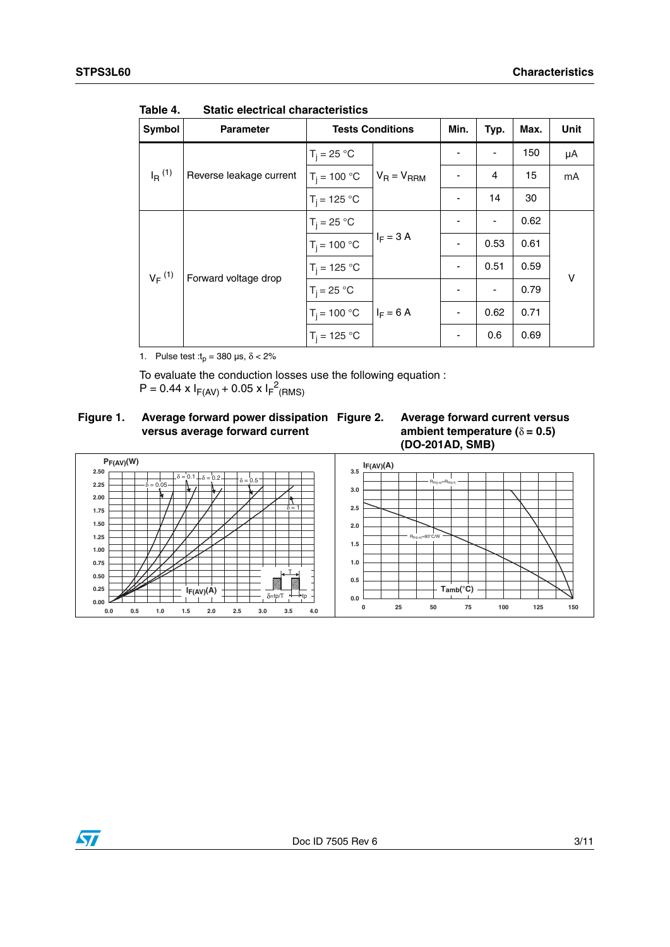| Symbol          | <b>Parameter</b>        | <b>Tests Conditions</b> | Min.            | Typ.                     | Max. | <b>Unit</b> |    |
|-----------------|-------------------------|-------------------------|-----------------|--------------------------|------|-------------|----|
|                 |                         | $T_i = 25 °C$           |                 |                          |      | 150         | μA |
| $I_{\rm R}$ (1) | Reverse leakage current | $T_i = 100 °C$          | $V_R = V_{RRM}$ | -                        | 4    | 15          | mA |
|                 |                         | $T_i = 125 °C$          |                 | $\overline{\phantom{a}}$ | 14   | 30          |    |
| $V_F^{(1)}$     | Forward voltage drop    | $T_i = 25 °C$           |                 |                          |      | 0.62        |    |
|                 |                         | $T_i = 100 °C$          | $I_F = 3 A$     | $\overline{\phantom{a}}$ | 0.53 | 0.61        |    |
|                 |                         | $T_i = 125 °C$          |                 | ٠                        | 0.51 | 0.59        | v  |
|                 |                         | $T_i = 25 °C$           |                 |                          | -    | 0.79        |    |
|                 |                         | $T_i = 100 °C$          | $I_F = 6$ A     | $\overline{\phantom{a}}$ | 0.62 | 0.71        |    |
|                 |                         | $T_i = 125 °C$          |                 | $\overline{\phantom{a}}$ | 0.6  | 0.69        |    |

Table 4. **Static electrical characteristics** 

1. Pulse test : $t_p = 380 \text{ }\mu\text{s}, \delta < 2\%$ 

To evaluate the conduction losses use the following equation :

 $P = 0.44 \times I_{F(AV)} + 0.05 \times I_{F}^{2}$ (RMS)

### **Figure 1. Average forward power dissipation versus average forward current**





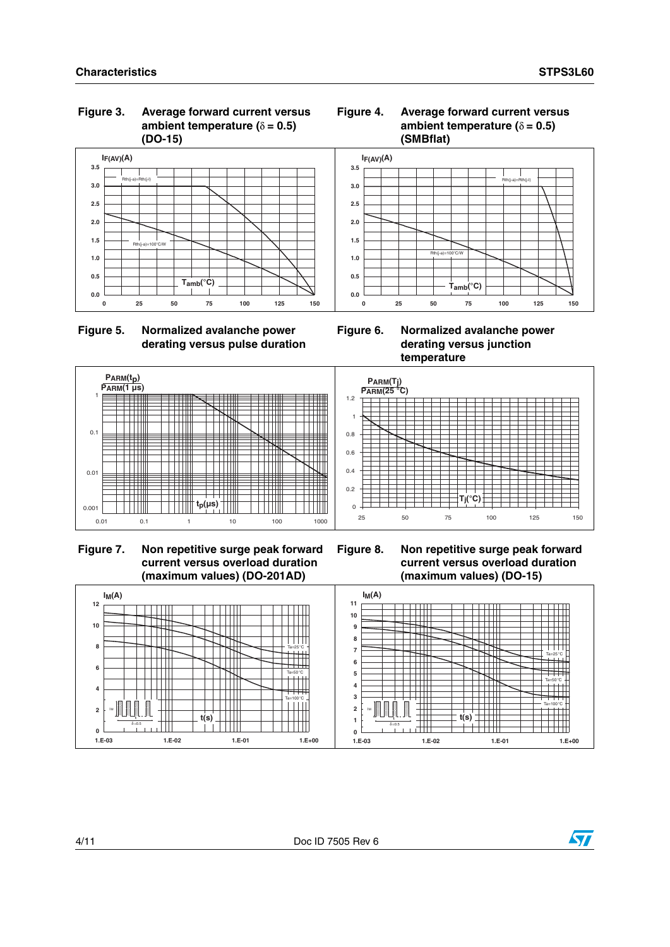#### **Figure 3. Average forward current versus ambient temperature (**δ **= 0.5) (DO-15)**







**Figure 6. Normalized avalanche power derating versus junction temperature**



**Figure 7. Non repetitive surge peak forward current versus overload duration (maximum values) (DO-201AD)**

**Figure 8. Non repetitive surge peak forward current versus overload duration (maximum values) (DO-15)**



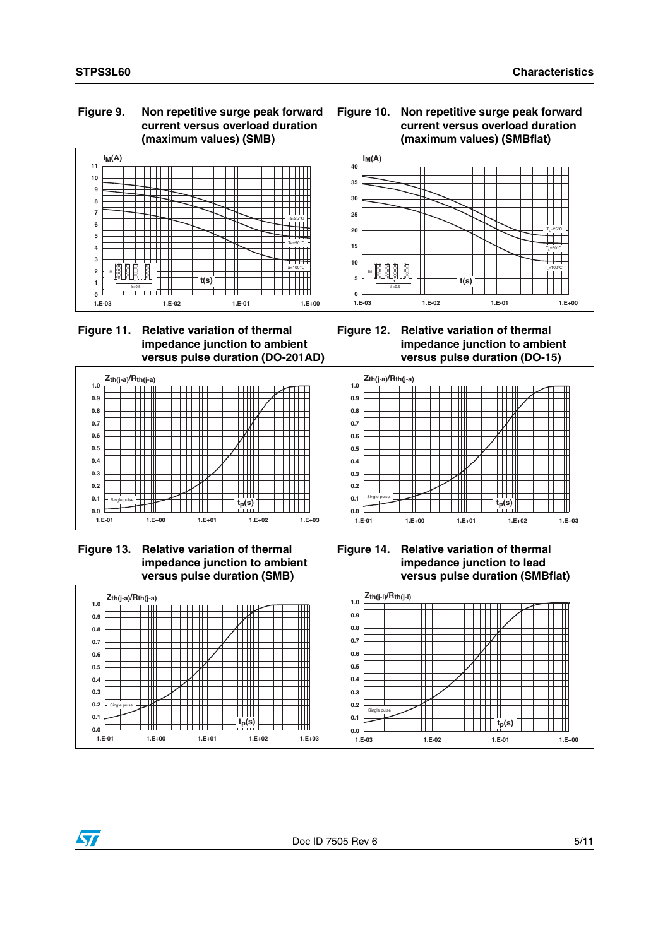#### **Figure 9. Non repetitive surge peak forward current versus overload duration (maximum values) (SMB)**





### **Figure 11. Relative variation of thermal impedance junction to ambient versus pulse duration (DO-201AD)**











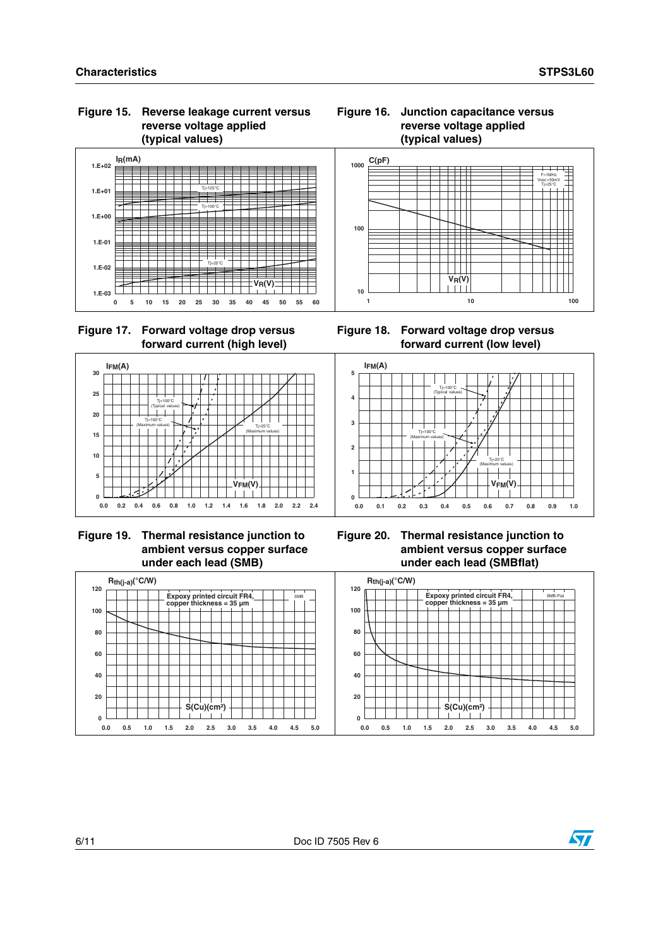**1.E-03**

**IFM(A)** 

**1.E-02**

**1.E-01**

**1.E+00**

**1.E+01**

**1.E+02**

#### **Figure 15. Reverse leakage current versus reverse voltage applied (typical values)**



Tj=25°C (Maximum values)

**V**<sub>FM</sub>(V)



Tj=100°C (Maximum values)

 $Ti=100^{\circ}$ C (Typical values)



**0 5 10 15 20 25 30 35 40 45 50 55 60**





 **Figure 19. Thermal resistance junction to ambient versus copper surface under each lead (SMB)**

**0.0 0.2 0.4 0.6 0.8 1.0 1.2 1.4 1.6 1.8 2.0 2.2 2.4**





#### **Figure 16. Junction capacitance versus reverse voltage applied (typical values)**



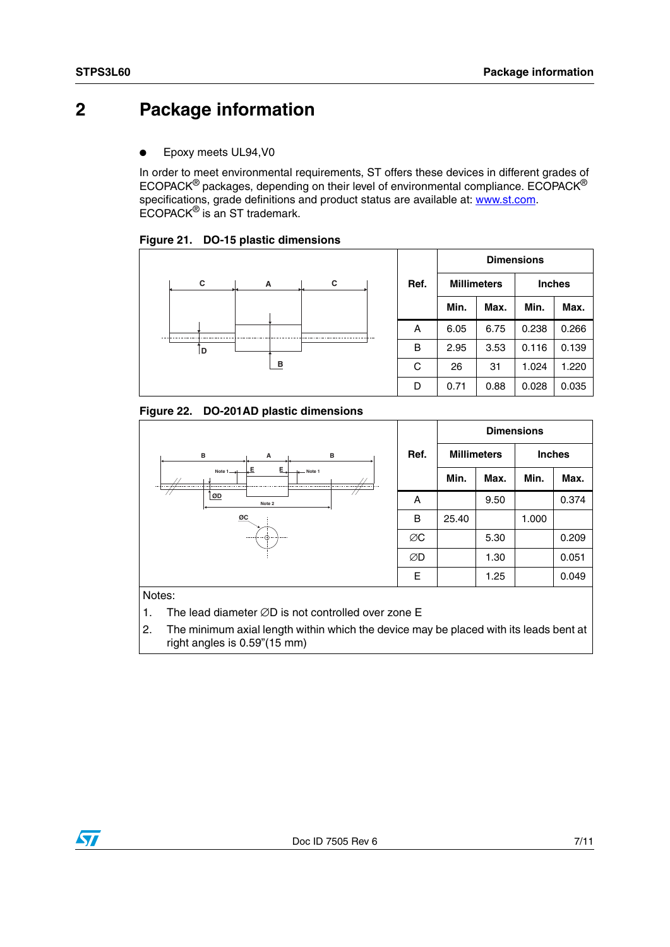## **2 Package information**

Epoxy meets UL94, V0

In order to meet environmental requirements, ST offers these devices in different grades of ECOPACK® packages, depending on their level of environmental compliance. ECOPACK® specifications, grade definitions and product status are available at: [www.st.com](http://www.st.com). ECOPACK® is an ST trademark.

**Figure 21. DO-15 plastic dimensions**



Figure 22. **Figure 22. DO-201AD plastic dimensions**



Notes:

- 1. The lead diameter ∅D is not controlled over zone E
- 2. The minimum axial length within which the device may be placed with its leads bent at right angles is 0.59"(15 mm)

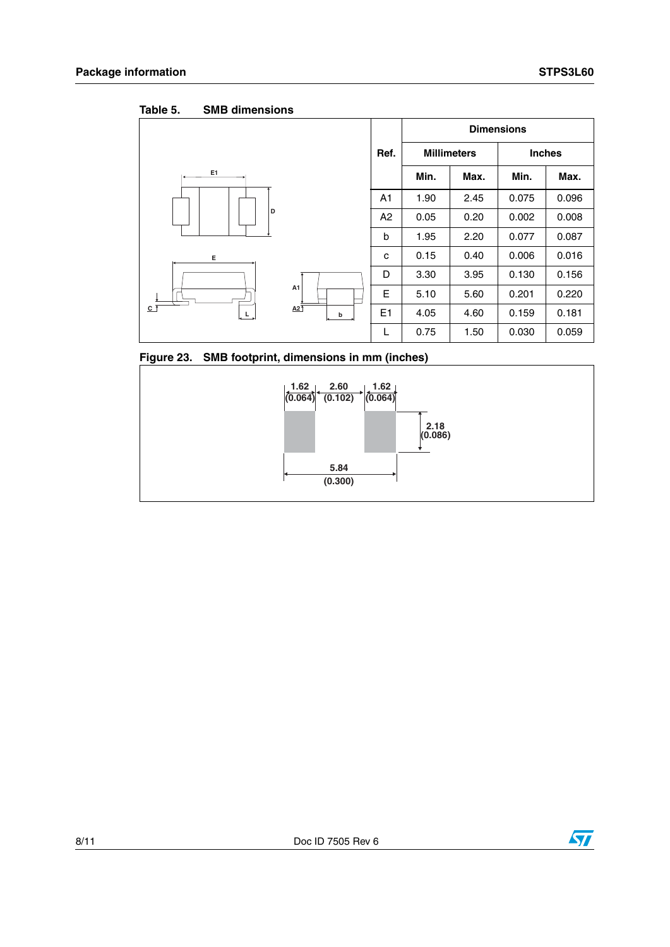Table 5. **SMB dimensions** 

|                                                    |   |                | <b>Dimensions</b>  |      |               |       |  |
|----------------------------------------------------|---|----------------|--------------------|------|---------------|-------|--|
|                                                    |   | Ref.           | <b>Millimeters</b> |      | <b>Inches</b> |       |  |
| E1                                                 |   |                | Min.               | Max. | Min.          | Max.  |  |
| D                                                  |   | A <sub>1</sub> | 1.90               | 2.45 | 0.075         | 0.096 |  |
|                                                    |   | A2             | 0.05               | 0.20 | 0.002         | 0.008 |  |
|                                                    |   | b              | 1.95               | 2.20 | 0.077         | 0.087 |  |
| Е                                                  |   | c              | 0.15               | 0.40 | 0.006         | 0.016 |  |
| A1<br>$A2$ <sup>T</sup><br>$c$ $\overline{f}$<br>L |   | D              | 3.30               | 3.95 | 0.130         | 0.156 |  |
|                                                    |   | E              | 5.10               | 5.60 | 0.201         | 0.220 |  |
|                                                    | b | E1             | 4.05               | 4.60 | 0.159         | 0.181 |  |
|                                                    |   | L              | 0.75               | 1.50 | 0.030         | 0.059 |  |

### **Figure 23. SMB footprint, dimensions in mm (inches)**



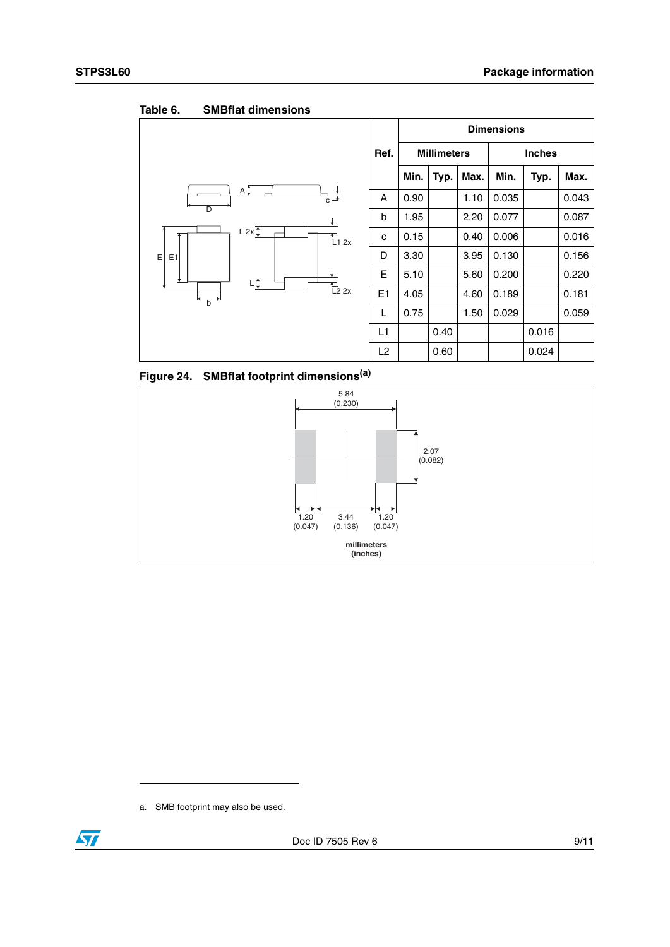|                                    |      |                    |      |               | <b>Dimensions</b> |       |       |
|------------------------------------|------|--------------------|------|---------------|-------------------|-------|-------|
|                                    | Ref. | <b>Millimeters</b> |      | <b>Inches</b> |                   |       |       |
|                                    |      | Min.               | Typ. | Max.          | Min.              | Typ.  | Max.  |
| ΑÎ<br>$\overline{c}$ $\rightarrow$ | A    | 0.90               |      | 1.10          | 0.035             |       | 0.043 |
| $\overline{\mathsf{D}}$            | b    | 1.95               |      | 2.20          | 0.077             |       | 0.087 |
| L 2x<br>$\sum_{L1}$ 2x             | с    | 0.15               |      | 0.40          | 0.006             |       | 0.016 |
| Ε<br>E <sub>1</sub>                | D    | 3.30               |      | 3.95          | 0.130             |       | 0.156 |
|                                    | E    | 5.10               |      | 5.60          | 0.200             |       | 0.220 |
| $\frac{1}{2}$ 2x<br>$\overline{b}$ | E1   | 4.05               |      | 4.60          | 0.189             |       | 0.181 |
|                                    | L    | 0.75               |      | 1.50          | 0.029             |       | 0.059 |
|                                    | L1   |                    | 0.40 |               |                   | 0.016 |       |
|                                    | L2   |                    | 0.60 |               |                   | 0.024 |       |

Table 6. **SMBflat dimensions** 





a. SMB footprint may also be used.

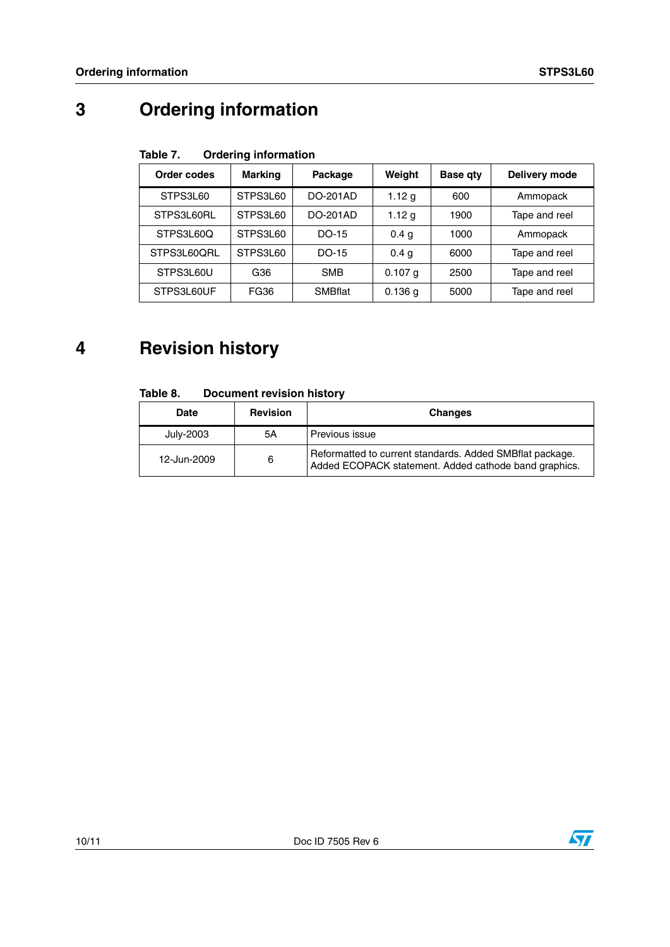# **3 Ordering information**

#### Table 7. **Ordering information**

| Order codes | <b>Marking</b> | Package        | Weight            | <b>Base gty</b> | Delivery mode |  |
|-------------|----------------|----------------|-------------------|-----------------|---------------|--|
| STPS3L60    | STPS3L60       | DO-201AD       | 1.12 <sub>q</sub> | 600             | Ammopack      |  |
| STPS3L60RL  | STPS3L60       | DO-201AD       | 1.12 $g$          | 1900            | Tape and reel |  |
| STPS3L60Q   | STPS3L60       | DO-15          | 0.4 <sub>q</sub>  | 1000            | Ammopack      |  |
| STPS3L60ORL | STPS3L60       | DO-15          | 0.4 <sub>q</sub>  | 6000            | Tape and reel |  |
| STPS3L60U   | G36            | <b>SMB</b>     | $0.107$ a         | 2500            | Tape and reel |  |
| STPS3L60UF  | FG36           | <b>SMBflat</b> | $0.136$ a         | 5000            | Tape and reel |  |

# **4 Revision history**

#### Table 8. **Document revision history**

| Date        | <b>Revision</b> | <b>Changes</b>                                                                                                    |
|-------------|-----------------|-------------------------------------------------------------------------------------------------------------------|
| July-2003   | 5Α              | Previous issue                                                                                                    |
| 12-Jun-2009 | 6               | Reformatted to current standards. Added SMBflat package.<br>Added ECOPACK statement. Added cathode band graphics. |

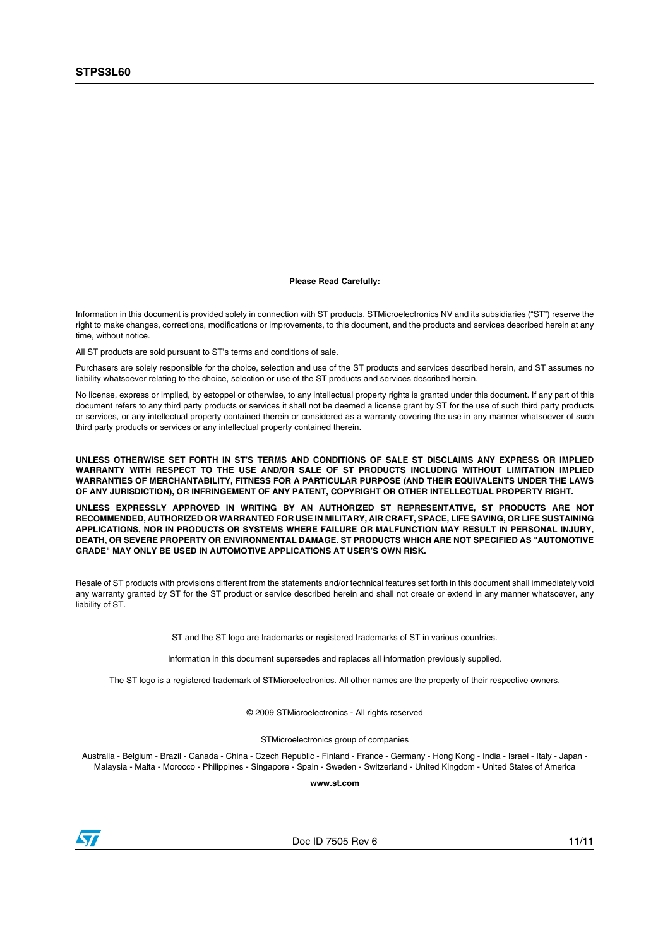#### **Please Read Carefully:**

Information in this document is provided solely in connection with ST products. STMicroelectronics NV and its subsidiaries ("ST") reserve the right to make changes, corrections, modifications or improvements, to this document, and the products and services described herein at any time, without notice.

All ST products are sold pursuant to ST's terms and conditions of sale.

Purchasers are solely responsible for the choice, selection and use of the ST products and services described herein, and ST assumes no liability whatsoever relating to the choice, selection or use of the ST products and services described herein.

No license, express or implied, by estoppel or otherwise, to any intellectual property rights is granted under this document. If any part of this document refers to any third party products or services it shall not be deemed a license grant by ST for the use of such third party products or services, or any intellectual property contained therein or considered as a warranty covering the use in any manner whatsoever of such third party products or services or any intellectual property contained therein.

**UNLESS OTHERWISE SET FORTH IN ST'S TERMS AND CONDITIONS OF SALE ST DISCLAIMS ANY EXPRESS OR IMPLIED WARRANTY WITH RESPECT TO THE USE AND/OR SALE OF ST PRODUCTS INCLUDING WITHOUT LIMITATION IMPLIED WARRANTIES OF MERCHANTABILITY, FITNESS FOR A PARTICULAR PURPOSE (AND THEIR EQUIVALENTS UNDER THE LAWS OF ANY JURISDICTION), OR INFRINGEMENT OF ANY PATENT, COPYRIGHT OR OTHER INTELLECTUAL PROPERTY RIGHT.**

**UNLESS EXPRESSLY APPROVED IN WRITING BY AN AUTHORIZED ST REPRESENTATIVE, ST PRODUCTS ARE NOT RECOMMENDED, AUTHORIZED OR WARRANTED FOR USE IN MILITARY, AIR CRAFT, SPACE, LIFE SAVING, OR LIFE SUSTAINING APPLICATIONS, NOR IN PRODUCTS OR SYSTEMS WHERE FAILURE OR MALFUNCTION MAY RESULT IN PERSONAL INJURY, DEATH, OR SEVERE PROPERTY OR ENVIRONMENTAL DAMAGE. ST PRODUCTS WHICH ARE NOT SPECIFIED AS "AUTOMOTIVE GRADE" MAY ONLY BE USED IN AUTOMOTIVE APPLICATIONS AT USER'S OWN RISK.**

Resale of ST products with provisions different from the statements and/or technical features set forth in this document shall immediately void any warranty granted by ST for the ST product or service described herein and shall not create or extend in any manner whatsoever, any liability of ST.

ST and the ST logo are trademarks or registered trademarks of ST in various countries.

Information in this document supersedes and replaces all information previously supplied.

The ST logo is a registered trademark of STMicroelectronics. All other names are the property of their respective owners.

© 2009 STMicroelectronics - All rights reserved

STMicroelectronics group of companies

Australia - Belgium - Brazil - Canada - China - Czech Republic - Finland - France - Germany - Hong Kong - India - Israel - Italy - Japan - Malaysia - Malta - Morocco - Philippines - Singapore - Spain - Sweden - Switzerland - United Kingdom - United States of America

**www.st.com**



Doc ID 7505 Rev 6 11/11